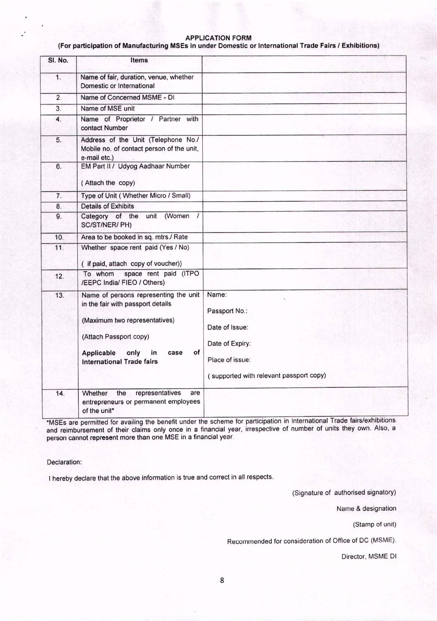### APPLICATION FORM

#### (For participation of Manufacturing M5Es in under Domestic or International Trade Fairs *I* Exhibitions)

| SI. No.          | <b>Items</b>                                                                                                                                                                                                        |                                                                                                                           |
|------------------|---------------------------------------------------------------------------------------------------------------------------------------------------------------------------------------------------------------------|---------------------------------------------------------------------------------------------------------------------------|
| 1.               | Name of fair, duration, venue, whether<br>Domestic or International                                                                                                                                                 |                                                                                                                           |
| $\overline{2}$ . | Name of Concerned MSME - DI                                                                                                                                                                                         |                                                                                                                           |
| 3.               | Name of MSE unit                                                                                                                                                                                                    |                                                                                                                           |
| 4.               | Name of Proprietor / Partner with<br>contact Number                                                                                                                                                                 |                                                                                                                           |
| 5.               | Address of the Unit (Telephone No./<br>Mobile no. of contact person of the unit,<br>e-mail etc.)                                                                                                                    |                                                                                                                           |
| 6.               | EM Part II / Udyog Aadhaar Number<br>(Attach the copy)                                                                                                                                                              |                                                                                                                           |
| $\overline{7}$ . | Type of Unit (Whether Micro / Small)                                                                                                                                                                                |                                                                                                                           |
| 8.               | <b>Details of Exhibits</b>                                                                                                                                                                                          |                                                                                                                           |
| 9.               | Category of the<br>unit<br>(Women<br>$\prime$<br>SC/ST/NER/ PH)                                                                                                                                                     |                                                                                                                           |
| 10.              | Area to be booked in sq. mtrs./ Rate                                                                                                                                                                                |                                                                                                                           |
| 11.              | Whether space rent paid (Yes / No)<br>( if paid, attach copy of voucher))                                                                                                                                           |                                                                                                                           |
| 12.              | space rent paid (ITPO<br>To whom<br>/EEPC India/ FIEO / Others)                                                                                                                                                     |                                                                                                                           |
| 13.              | Name of persons representing the unit<br>in the fair with passport details<br>(Maximum two representatives)<br>(Attach Passport copy)<br>οf<br>Applicable<br>only<br>in<br>case<br><b>International Trade fairs</b> | Name:<br>Passport No.:<br>Date of Issue:<br>Date of Expiry:<br>Place of issue:<br>(supported with relevant passport copy) |
| 14.              | representatives<br>Whether<br>the<br>are<br>entrepreneurs or permanent employees<br>of the unit*                                                                                                                    |                                                                                                                           |

**MSES are permitted for availing the benefit under the scheme for participation in International Trade fairs/exhibitions** and reimbursement of their claims only once in a financial year, irrespective of number of units they own. Also, a person cannot represent more than one MSE in a financial year.

Declaration:

I hereby declare that the above information is true and correct in all respects.

(Signature of authorised signatory)

Name & designation

(Stamp of unit)

Recommended for consideration of Office of DC (MSME).

Director, MSME 01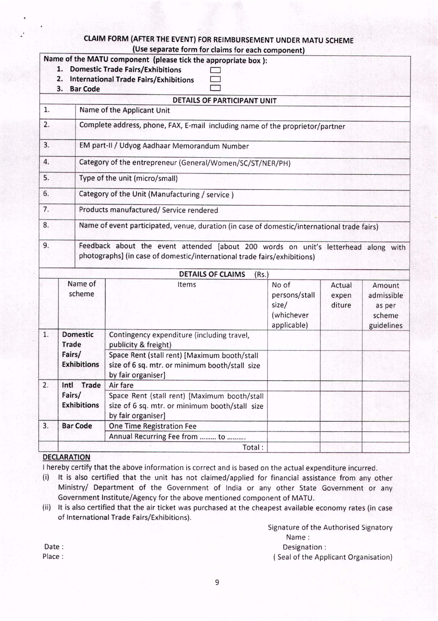# CLAIM FORM (AFTER THE EVENT) FOR REIMBURSEMENT UNDER MATU SCHEME

|                                  | 2.<br>3.                                                  | <b>Bar Code</b>                                                                             | (Use separate form for claims for each component)<br>Name of the MATU component (please tick the appropriate box):<br>1. Domestic Trade Fairs/Exhibitions<br><b>International Trade Fairs/Exhibitions</b> |                                                              |                           |                                                        |  |  |
|----------------------------------|-----------------------------------------------------------|---------------------------------------------------------------------------------------------|-----------------------------------------------------------------------------------------------------------------------------------------------------------------------------------------------------------|--------------------------------------------------------------|---------------------------|--------------------------------------------------------|--|--|
|                                  |                                                           |                                                                                             | DETAILS OF PARTICIPANT UNIT                                                                                                                                                                               |                                                              |                           |                                                        |  |  |
| 1.<br>Name of the Applicant Unit |                                                           |                                                                                             |                                                                                                                                                                                                           |                                                              |                           |                                                        |  |  |
| 2.                               |                                                           | Complete address, phone, FAX, E-mail including name of the proprietor/partner               |                                                                                                                                                                                                           |                                                              |                           |                                                        |  |  |
| 3.                               |                                                           | EM part-II / Udyog Aadhaar Memorandum Number                                                |                                                                                                                                                                                                           |                                                              |                           |                                                        |  |  |
| 4.                               | Category of the entrepreneur (General/Women/SC/ST/NER/PH) |                                                                                             |                                                                                                                                                                                                           |                                                              |                           |                                                        |  |  |
| 5.                               |                                                           | Type of the unit (micro/small)                                                              |                                                                                                                                                                                                           |                                                              |                           |                                                        |  |  |
| 6.                               | Category of the Unit (Manufacturing / service)            |                                                                                             |                                                                                                                                                                                                           |                                                              |                           |                                                        |  |  |
| 7.                               |                                                           |                                                                                             | Products manufactured/ Service rendered                                                                                                                                                                   |                                                              |                           |                                                        |  |  |
| 8.                               |                                                           | Name of event participated, venue, duration (in case of domestic/international trade fairs) |                                                                                                                                                                                                           |                                                              |                           |                                                        |  |  |
| 9.                               |                                                           |                                                                                             | Feedback about the event attended [about 200 words on unit's letterhead along with<br>photographs] (in case of domestic/international trade fairs/exhibitions)                                            |                                                              |                           |                                                        |  |  |
|                                  |                                                           |                                                                                             | <b>DETAILS OF CLAIMS</b><br>(Rs.)                                                                                                                                                                         |                                                              |                           |                                                        |  |  |
|                                  | Name of<br>scheme                                         |                                                                                             | Items                                                                                                                                                                                                     | No of<br>persons/stall<br>size/<br>(whichever<br>applicable) | Actual<br>expen<br>diture | Amount<br>admissible<br>as per<br>scheme<br>guidelines |  |  |
| 1.                               | <b>Trade</b>                                              | <b>Domestic</b>                                                                             | Contingency expenditure (including travel,<br>publicity & freight)                                                                                                                                        |                                                              |                           |                                                        |  |  |
|                                  | Fairs/                                                    | <b>Exhibitions</b>                                                                          | Space Rent (stall rent) [Maximum booth/stall<br>size of 6 sq. mtr. or minimum booth/stall size<br>by fair organiser]                                                                                      |                                                              |                           |                                                        |  |  |
| 2.                               | Intl                                                      | <b>Trade</b>                                                                                | Air fare                                                                                                                                                                                                  |                                                              |                           |                                                        |  |  |
| Fairs/                           |                                                           | <b>Exhibitions</b>                                                                          | Space Rent (stall rent) [Maximum booth/stall<br>size of 6 sq. mtr. or minimum booth/stall size<br>by fair organiser]                                                                                      |                                                              |                           |                                                        |  |  |
| 3.                               |                                                           | <b>Bar Code</b>                                                                             | One Time Registration Fee                                                                                                                                                                                 |                                                              |                           |                                                        |  |  |
|                                  |                                                           |                                                                                             | Annual Recurring Fee from  to                                                                                                                                                                             |                                                              |                           |                                                        |  |  |
|                                  |                                                           |                                                                                             | Total:                                                                                                                                                                                                    |                                                              |                           |                                                        |  |  |

## DECLARATION

I hereby certify that the above information is correct and is based on the actual expenditure incurred.

- (i) It is also certified that the unit has not claimed/applied for financial assistance from any other Ministry/ Department of the Government of India or any other State Government or any Government Institute/Agency for the above mentioned component of MATU.
- (ii) It is also certified that the air ticket was purchased at the cheapest available economy rates (in case of International Trade Fairs/Exhibitions),

Signature of the Authorised Signatory Name:

Designation:

( Sealof the Applicant Organisation)

Date: Place: